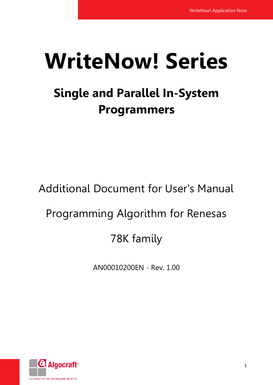# **WriteNow! Series**

# **Single and Parallel In-System Programmers**

Additional Document for User's Manual

# Programming Algorithm for Renesas

# 78K family

AN00010200EN - Rev. 1.00

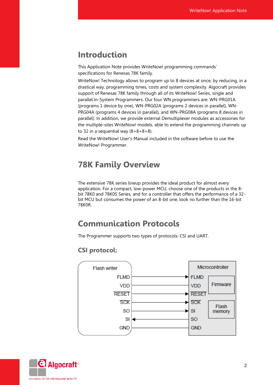# **Introduction**

This Application Note provides WriteNow! programming commands' specifications for Renesas 78K family.

WriteNow! Technology allows to program up to 8 devices at once, by reducing, in a drastical way, programming times, costs and system complexity. Algocraft provides support of Renesas 78K family through all of its WriteNow! Series, single and parallel In-System Programmers. Our four WN programmers are: WN-PRG01A (programs 1 device by one), WN-PRG02A (programs 2 devices in parallel), WN-PRG04A (programs 4 devices in parallel), and WN-PRG08A (programs 8 devices in parallel). In addition, we provide external Demultiplexer modules as accessories for the multiple-sites WriteNow! models, able to extend the programming channels up to 32 in a sequential way  $(8+8+8+8)$ .

Read the WriteNow! User's Manual included in the software before to use the WriteNow! Programmer.

# **78K Family Overview**

The extensive 78K series lineup provides the ideal product for almost every application. For a compact, low-power MCU, choose one of the products in the 8 bit 78K0 and 78K0S Series, and for a controller that offers the performance of a 32 bit MCU but consumes the power of an 8-bit one, look no further than the 16-bit 78K0R.

# **Communication Protocols**

The Programmer supports two types of protocols: CSI and UART.

#### **CSI protocol:**



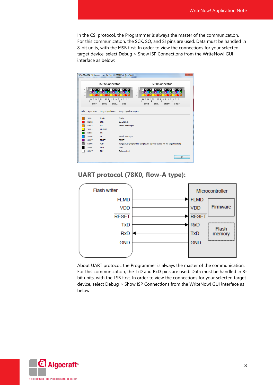In the CSI protocol, the Programmer is always the master of the communication. For this communication, the SCK, SO, and SI pins are used. Data must be handled in 8-bit units, with the MSB first. In order to view the connections for your selected target device, select Debug > Show ISP Connections from the WriteNow! GUI interface as below:



#### **UART protocol (78K0, flow-A type):**



About UART protocol, the Programmer is always the master of the communication. For this communication, the TxD and RxD pins are used. Data must be handled in 8 bit units, with the LSB first. In order to view the connections for your selected target device, select Debug > Show ISP Connections from the WriteNow! GUI interface as below:

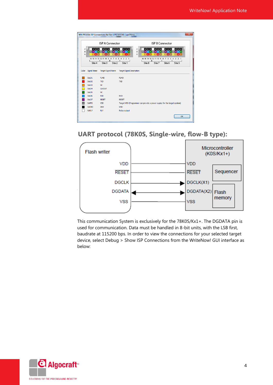|             |                                          | <b>ISP A Connector</b>                        | <b>ISP B Connector</b>                                                                                                                  |
|-------------|------------------------------------------|-----------------------------------------------|-----------------------------------------------------------------------------------------------------------------------------------------|
| c<br>B<br>A | $\Box$<br>٠<br>D<br>16 15 14 13 12 11 10 | г<br>$\circ$<br>$\mathbf{R}$                  | c<br>$\Box$<br>B<br>A<br>٠<br>D<br>٠<br>п<br>٠<br>٠<br>D<br>D<br>16 15 14 13 12 11<br>2 <sub>1</sub><br>$\overline{2}$<br>$\circ$<br>10 |
| Color       | Site 4<br>Signal Name                    | Site 3<br>Site 2<br><b>Target Signal Name</b> | Site 1<br>Site 8<br>Site 7<br>Site 6<br>Site 5<br><b>Target Signal Description</b>                                                      |
|             |                                          |                                               |                                                                                                                                         |
|             | SxL01                                    | <b>FLMD</b>                                   | <b>FLMD</b>                                                                                                                             |
|             | SxL02                                    | <b>TXD</b>                                    | <b>TXD</b>                                                                                                                              |
|             | SxL03                                    | <b>NC</b>                                     |                                                                                                                                         |
|             | SxL04                                    | <b>CLKOUT</b>                                 |                                                                                                                                         |
|             | SxL05                                    | <b>NC</b>                                     |                                                                                                                                         |
|             | SxL06                                    | <b>RXD</b>                                    | <b>RXD</b>                                                                                                                              |
|             | SxL07                                    | <b>RESET</b>                                  | <b>RESET</b>                                                                                                                            |
|             |                                          |                                               |                                                                                                                                         |
|             | <b>SxPPS</b>                             | VDD                                           | Target VDD (Programmer can provide a power supply for the target system)                                                                |
|             | <b>SxGND</b>                             | <b>GND</b>                                    | <b>GND</b>                                                                                                                              |

### **UART protocol (78K0S, Single-wire, flow-B type):**



This communication System is exclusively for the 78K0S/Kx1+. The DGDATA pin is used for communication. Data must be handled in 8-bit units, with the LSB first, baudrate at 115200 bps. In order to view the connections for your selected target device, select Debug > Show ISP Connections from the WriteNow! GUI interface as below:

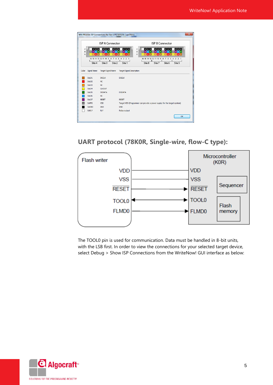|             |                       | <b>ISP A Connector</b>                                                      |                                  | <b>ISP B Connector</b>                                                                                                                                                       |
|-------------|-----------------------|-----------------------------------------------------------------------------|----------------------------------|------------------------------------------------------------------------------------------------------------------------------------------------------------------------------|
| C<br>В<br>A | $\Box$<br>٠<br>Site 4 | г<br>16 15 14 13 12 11 10 9<br>8<br>6<br>$\overline{7}$<br>Site 3<br>Site 2 | п<br>5<br>3 2 1<br>4<br>Site 1   | c<br>$\Box$<br>B<br>A<br>п<br>г<br>г<br>16 15 14 13 12 11 10 9<br>8<br>$\overline{7}$<br>6<br>$\overline{\phantom{a}}$<br>3 2 1<br>4<br>Site 7<br>Site 6<br>Site 8<br>Site 5 |
| Color       | <b>Signal Name</b>    | <b>Target Signal Name</b>                                                   | <b>Target Signal Description</b> |                                                                                                                                                                              |
|             | SxL01                 | <b>DGCLK</b>                                                                | <b>DGCLK</b>                     |                                                                                                                                                                              |
|             | SxL02                 | <b>NC</b>                                                                   |                                  |                                                                                                                                                                              |
|             | SxL03                 | <b>NC</b>                                                                   |                                  |                                                                                                                                                                              |
|             | SxL04                 | <b>CLKOUT</b>                                                               |                                  |                                                                                                                                                                              |
|             | SxL05                 | <b>DGDATA</b>                                                               | <b>DGDATA</b>                    |                                                                                                                                                                              |
|             | SxL06                 | <b>NC</b>                                                                   |                                  |                                                                                                                                                                              |
|             | SxL07                 | <b>RESET</b>                                                                | <b>RESET</b>                     |                                                                                                                                                                              |
|             | <b>SxPPS</b>          | <b>VDD</b>                                                                  |                                  | Target VDD (Programmer can provide a power supply for the target system)                                                                                                     |
|             | <b>SxGND</b>          | <b>GND</b>                                                                  | <b>GND</b>                       |                                                                                                                                                                              |
|             | <b>SxRLY</b>          | <b>RLY</b>                                                                  | Relay output                     |                                                                                                                                                                              |

#### **UART protocol (78K0R, Single-wire, flow-C type):**



The TOOL0 pin is used for communication. Data must be handled in 8-bit units, with the LSB first. In order to view the connections for your selected target device, select Debug > Show ISP Connections from the WriteNow! GUI interface as below:

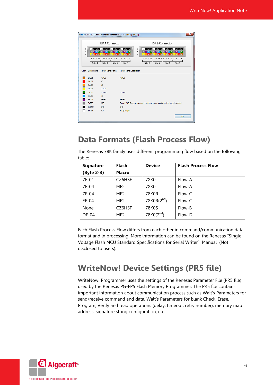|             |                            | <b>ISP A Connector</b>                                                           | <b>ISP B Connector</b>                                                                                                                                                                                    |
|-------------|----------------------------|----------------------------------------------------------------------------------|-----------------------------------------------------------------------------------------------------------------------------------------------------------------------------------------------------------|
| c<br>В<br>A | $\Box$<br>٠<br>D<br>Site 4 | D<br>г<br>16 15 14 13 12 11 10 9<br>8<br>$\overline{7}$<br>6<br>Site 3<br>Site 2 | c<br>$\Box$<br>B<br>A<br>٠<br>D<br>п<br>г<br>٠<br>ō<br>٠<br>16 15 14 13 12 11 10 9<br>4 3 2 1<br>5<br>3 2 1<br>$\mathbf{R}$<br>$\overline{7}$<br>6<br>5<br>Site 7<br>Site 1<br>Site 8<br>Site 6<br>Site 5 |
| Color       | <b>Signal Name</b>         | <b>Target Signal Name</b>                                                        | <b>Target Signal Description</b>                                                                                                                                                                          |
|             | SxL01                      | FLMD0                                                                            | <b>FLMD0</b>                                                                                                                                                                                              |
|             | SxL02                      | <b>NC</b>                                                                        |                                                                                                                                                                                                           |
|             | SxL03                      | <b>NC</b>                                                                        |                                                                                                                                                                                                           |
|             | SxL04                      | <b>CLKOUT</b>                                                                    |                                                                                                                                                                                                           |
|             | SxL05                      | <b>TOOL0</b>                                                                     | <b>TOOL0</b>                                                                                                                                                                                              |
|             | SxL06                      | <b>NC</b>                                                                        |                                                                                                                                                                                                           |
|             | SxL07                      | <b>RESET</b>                                                                     | <b>RESET</b>                                                                                                                                                                                              |
|             | <b>SxPPS</b>               | VDD                                                                              | Target VDD (Programmer can provide a power supply for the target system)                                                                                                                                  |
|             | <b>SxGND</b>               | <b>GND</b>                                                                       | <b>GND</b>                                                                                                                                                                                                |
|             | <b>SxRLY</b>               | <b>RLY</b>                                                                       | Relay output                                                                                                                                                                                              |

# **Data Formats (Flash Process Flow)**

The Renesas 78K family uses different programming flow based on the following table:

| <b>Signature</b> | <b>Flash</b>    | <b>Device</b>    | <b>Flash Process Flow</b> |
|------------------|-----------------|------------------|---------------------------|
| (Byte 2-3)       | Macro           |                  |                           |
| 7F-01            | CZ6HSF          | 78K0             | Flow-A                    |
| 7F-04            | MF2             | 78K0             | Flow-A                    |
| 7F-04            | MF <sub>2</sub> | 78K0R            | Flow-C                    |
| $EF-04$          | MF <sub>2</sub> | 78 $KOR(2^{nd})$ | Flow-C                    |
| None             | CZ6HSF          | 78K0S            | Flow-B                    |
| DF-04            | MF <sub>2</sub> | $78K0(2^{nd})$   | Flow-D                    |

Each Flash Process Flow differs from each other in command/communication data format and in processing. More information can be found on the Renesas "Single Voltage Flash MCU Standard Specifications for Serial Writer" Manual (Not disclosed to users).

# **WriteNow! Device Settings (PR5 file)**

WriteNow! Programmer uses the settings of the Renesas Parameter File (PR5 file) used by the Renesas PG-FP5 Flash Memory Programmer. The PR5 file contains important information about communication process such as Wait's Parameters for send/receive command and data, Wait's Parameters for blank Check, Erase, Program, Verify and read operations (delay, timeout, retry number), memory map address, signature string configuration, etc.

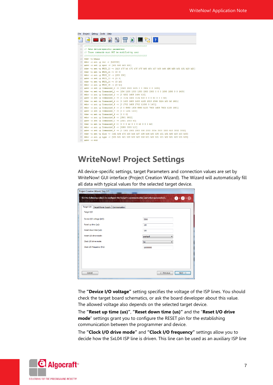| File Project Debug Tools Help                                                                               |  |
|-------------------------------------------------------------------------------------------------------------|--|
| <b>ES</b>                                                                                                   |  |
| 10 <sup>°</sup>                                                                                             |  |
| 11<br>// Sets device-specific parameters                                                                    |  |
| 12 // These commands must NOT be modified by user                                                           |  |
| 13                                                                                                          |  |
| #dev -o begin<br>14                                                                                         |  |
| 15 <sub>1</sub><br>$\#dev - o set - p ver - v [h10000]$                                                     |  |
| 16 #dev -o set -p nprc -v [h01 h00 h00 h00]                                                                 |  |
| #dev -o set -p PRC0 10 -v [h10 h7F h4 h7C h7F h7F h80 hC4 h37 h38 h46 hB0 hB5 h31 h31 h20 h20]<br>17        |  |
| #dev -o set -p PRC0 11 -v [0 0]<br>18                                                                       |  |
| #dev -o set -p PRC0 12 -v [200 200]<br>19                                                                   |  |
| 20<br>#dev -o set -p PRC0 13 -v [0 0]<br>#dev -o set -p PRC0 14 -v [0 h0]<br>21                             |  |
| #dev -o set -p PRC0 15 -v [0 h1]<br>22                                                                      |  |
| #dev -o set -p Commands0 0 -v [1500 1500 1605 0 0 3302 0 0 1605]<br>23                                      |  |
| #dev -o set -p Commands0 1 -v [256 1100 1300 1300 1500 1500 0 0 0 1800 1800 0 0 1605]<br>24                 |  |
| #dev -o set -p Commands0 2 -v [0 9202 1605 1484 h10]<br>25                                                  |  |
| #dev -o set -p Commands0 3 -v [0 3134 1606 3134 h33 0 0 0 h0 0 0 0 h0]<br>26                                |  |
| #dev -o set -p Commands0 4 -v [0 1453 1605 1453 h100 2013 2566 3224 h50 h0 2601]<br>27                      |  |
| #dev -o set -p Commands0 5 -v [0 2702 1605 2702 h1000 0 1401]<br>28                                         |  |
| #dev -o set -p Commands0 6 -v [0 0 5883 1606 5883 h100 7803 1606 7803 h100 1901]<br>29                      |  |
| #dev -o set -p Commands0 7 -v [0 0 1201 1103]<br>30 <sub>2</sub>                                            |  |
| #dev -o set -p Commands0 9 -v [0 0 0]<br>31                                                                 |  |
| #dev -o set -p Commands0 B -v [2501 3802]<br>32 <sup>2</sup>                                                |  |
| #dev -o set -o Commands0 C -v [2501 2003 h0]<br>33                                                          |  |
| #dev -o set -p Commands0 D -v [0 0 0 h0 0 0 0 h0 0 0 0 h0]<br>34                                            |  |
| #dev -o set -p Commands0 E -v [3350 0000 h10]<br>35                                                         |  |
| 36 #dev -o set -p Commands0 F -v [0 1001 2001 2003 500 2003 3004 3500 3203 h10 3002 3002]                   |  |
| #dev -o set -p flow -v [h41 h04 h7f h00 h44 h37 h38 h46 h30 h35 h31 h31 h00 h00 h00 h00]<br>37 <sup>2</sup> |  |
| #dev -o set -p type -v [h01 h01 h01 h00 h02 h00 h02 h01 h02 h01 h01 h02 h01 h00 h01 h00]<br>38              |  |
| $39$ #dev $-0$ end                                                                                          |  |

# **WriteNow! Project Settings**

All device-specific settings, target Parameters and connection values are set by WriteNow! GUI interface (Project Creation Wizard). The Wizard will automatically fill all data with typical values for the selected target device.

| Target I/O<br>Target Power Supply   Communication |          |
|---------------------------------------------------|----------|
| Target I/O                                        |          |
| Device I/O voltage (mV):                          | 3300     |
| Reset up time (us):                               | 100      |
| Reset down time (us):                             | 100      |
| Reset I/O drive mode:                             | pushpull |
| Clock I/O drive mode:                             | hiz<br>▼ |
| Clock I/O frequency (Hz):                         | 16000000 |
|                                                   |          |
|                                                   |          |
|                                                   |          |

The **"Device I/O voltage"** setting specifies the voltage of the ISP lines. You should check the target board schematics, or ask the board developer about this value. The allowed voltage also depends on the selected target device.

The **"Reset up time (us)"**, **"Reset down time (us)"** and the "**Reset I/O drive mode**" settings grant you to configure the RESET pin for the establishing communication between the programmer and device.

The **"Clock I/O drive mode"** and **"Clock I/O frequency"** settings allow you to decide how the SxL04 ISP line is driven. This line can be used as an auxiliary ISP line

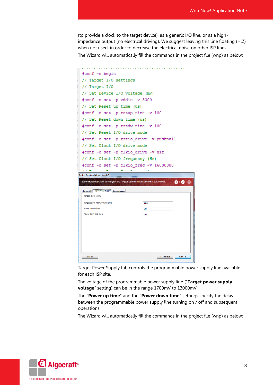(to provide a clock to the target device), as a generic I/O line, or as a highimpedance output (no electrical driving). We suggest leaving this line floating (HiZ) when not used, in order to decrease the electrical noise on other ISP lines.

The Wizard will automatically fill the commands in the project file (wnp) as below:

```
#conf -o begin
// Target I/O settings
// Target I/O
 // Set Device I/O voltage (mV)
 #conf -o set -p vddio -v 3300
// Set Reset up time (us)
 #conf -o set -p rstup time -v 100
 // Set Reset down time (us)
 #conf -o set -p rstdw_time -v 100
// Set Reset I/O drive mode
 #conf -o set -p rstio_drive -v pushpull
// Set Clock I/O drive mode
 #conf -o set -p clkio drive -v hiz
 // Set Clock I/O frequency (Hz)
 #conf -o set -p clkio_freq -v 16000000
Project Creation Wizard, Step 2/3
Set the following values to configure the target's communication and other parameters.
                                                     \mathbf{0} + \mathbf{0} + \mathbf{0}Target I/O Target Power Supply Communication
  Target Power Supply
  Target power supply voltage (mV):
                                   3300
  Power up time (ms):
                                   100Power down time (ms):
                                   100Cancel
                                           \xrightarrow{\leftarrow} Previous \xrightarrow{\qquad} Next \rightarrow
```
Target Power Supply tab controls the programmable power supply line available for each ISP site.

The voltage of the programmable power supply line ("**Target power supply voltage**" setting) can be in the range 1700mV to 13000mV..

The "**Power up time**" and the "**Power down time**" settings specify the delay between the programmable power supply line turning on / off and subsequent operations.

The Wizard will automatically fill the commands in the project file (wnp) as below:

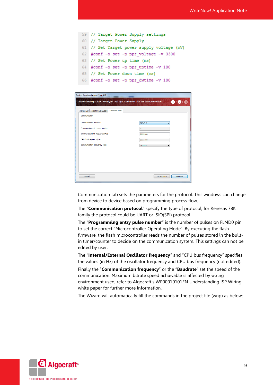| 59 // Target Power Supply settings         |
|--------------------------------------------|
| 60 // Target Power Supply                  |
| 61 // Set Target power supply voltage (mV) |
| 62 #conf -o set -p pps voltage -v 3300     |
| 63 // Set Power up time (ms)               |
| 64 #conf -o set -p pps_uptime -v 100       |
| 65 // Set Power down time (ms)             |
| 66 #conf -o set -p pps dwtime -v 100       |

| Project Creation Wizard, Step 2/3                                                      |                                    |
|----------------------------------------------------------------------------------------|------------------------------------|
| Set the following values to configure the target's communication and other parameters. | $\mathbf{O}$                       |
|                                                                                        |                                    |
| Communication<br>Target I/O   Target Power Supply                                      |                                    |
| Communication                                                                          |                                    |
| Communication protocol:                                                                | SIO-CHO                            |
| Programming entry pulse number:                                                        | 8                                  |
| Internal oscillator frequency (Hz):                                                    | 8000000                            |
| CPU Bus frequency (Hz):                                                                | 8000000                            |
| Communication frequency (Hz):                                                          | 2500000                            |
|                                                                                        |                                    |
|                                                                                        |                                    |
|                                                                                        |                                    |
|                                                                                        |                                    |
|                                                                                        |                                    |
|                                                                                        |                                    |
| Cancel                                                                                 | $Next ->$<br>$\leftarrow$ Previous |

Communication tab sets the parameters for the protocol. This windows can change from device to device based on programming process flow.

The "**Communication protocol**" specify the type of protocol, for Renesas 78K family the protocol could be UART or SIO(SPI) protocol.

The "**Programming entry pulse number**" is the number of pulses on FLMD0 pin to set the correct "Microcontroller Operating Mode". By executing the flash firmware, the flash microcontroller reads the number of pulses stored in the builtin timer/counter to decide on the communication system. This settings can not be edited by user.

The "**Internal/External Oscillator frequency**" and "CPU bus frequency" specifies the values (in Hz) of the oscillator frequency and CPU bus frequency (not edited).

Finally the "**Communication frequency**" or the "**Baudrate**" set the speed of the communication. Maximum bitrate speed achievable is affected by wiring environment used; refer to Algocraft's WP00010101EN Understanding ISP Wiring white paper for further more information.

The Wizard will automatically fill the commands in the project file (wnp) as below:

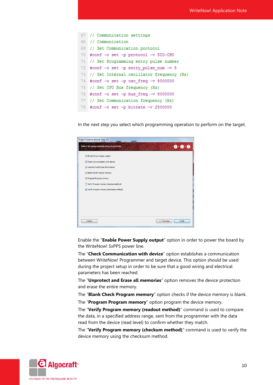```
67 // Communication settings
68 // Communication
69 // Set Communication protocol
70 #conf -o set -p protocol -v SIO-CHO
71 // Set Programming entry pulse number
72 #conf -o set -p entry pulse num -v 8
73 // Set Internal oscillator frequency (Hz)
74 #conf -o set -p osc_freq -v 8000000
75 // Set CPU Bus frequency (Hz)
76 #conf -o set -p bus_freq -v 8000000
77 // Set Communication frequency (Hz)
78 #conf -o set -p bitrate -v 2500000
```
In the next step you select which programming operation to perform on the target.

| Project Creation Wizard, Step 3/3        |                                        |
|------------------------------------------|----------------------------------------|
| Select the programming steps to perform. | $\mathbf{0}$ $\mathbf{0}$ $\mathbf{0}$ |
| T Enable Power Supply output             |                                        |
| V Check Communication with device        |                                        |
| V Unprotect and Erase all memories       |                                        |
| V Blank Check Program memory             |                                        |
| Program Program memory                   |                                        |
| Verify Program memory (readout method)   |                                        |
| Verify Program memory (checksum method)  |                                        |
|                                          |                                        |
|                                          |                                        |
|                                          |                                        |
|                                          |                                        |
|                                          |                                        |
| Cancel<br><-- Previous                   | Finish                                 |

Enable the "**Enable Power Supply output**" option in order to power the board by the WriteNow! SxPPS power line.

The "**Check Communication with device**" option establishes a communication between WriteNow! Programmer and target device. This option should be used during the project setup in order to be sure that a good wiring and electrical parameters has been reached.

The "**Unprotect and Erase all memories**" option removes the device protection and erase the entire memory.

The "**Blank Check Program memory**" option checks if the device memory is blank.

The "**Program Program memory**" option program the device memory.

The "**Verify Program memory (readout method)**" command is used to compare the data, in a specified address range, sent from the programmer with the data read from the device (read level) to confirm whether they match.

The "**Verify Program memory (checkum method)**" command is used to verify the device memory using the checksum method.

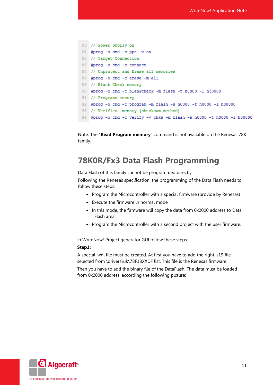```
83 // Power Supply on
84 #prog -o cmd -c pps -v on
85 // Target Connection
86 #prog -o cmd -c connect
87 // Unprotect and Erase all memories
88 #prog -o cmd -c erase -m all
89 // Blank Check memory
90 #prog -o cmd -c blankcheck -m flash -t h0000 -l h30000
91 // Programs memory
92 #prog -o cmd -c program -m flash -s h0000 -t h0000 -l h30000
93 // Verifies memory (checksum method)
94 #prog -o cmd -c verify -v chks -m flash -s h0000 -t h0000 -l h30000
```
Note: The "**Read Program memory**" command is not available on the Renesas 78K family.

### **78K0R/Fx3 Data Flash Programming**

Data Flash of this family cannot be programmed directly.

Following the Renesas specification, the programming of the Data Flash needs to follow these steps:

- Program the Microcontroller with a special firmware (provide by Renesas)
- Execute the firmware in normal mode
- In this mode, the firmware will copy the data from 0x2000 address to Data Flash area.
- Program the Microcontroller with a second project with the user firmware.

In WriteNow! Project generator GUI follow these steps:

#### **Step1:**

A special .wni file must be created. At first you have to add the right .s19 file selected from \drivers\uk\78F18XXDF list. This file is the Renesas firmware.

Then you have to add the binary file of the DataFlash. The data must be loaded from 0x2000 address, according the following picture:

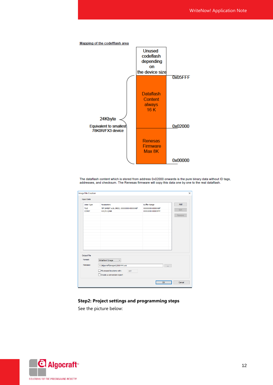

The dataflash content which is stored from address 0x02000 onwards is the pure binary data without ID tags, addresses, and checksum. The Renesas firmware will copy this data one by one to the real dataflash.

| Data Type                                  | Parameters                                                                                                      | <b>Buffer Range</b> | Add    |
|--------------------------------------------|-----------------------------------------------------------------------------------------------------------------|---------------------|--------|
| <b>FILE</b>                                | 78F1845DF.s19, SREC, 00000000-00000ABF                                                                          | 00000000-00000ABF   | Edit   |
| <b>CONST</b>                               | H22,h11,hab                                                                                                     | 00002000-00005FFF   |        |
|                                            |                                                                                                                 |                     | Remove |
| <b>Output File</b><br>Format:<br>Filename: | WriteNow! Image<br>$\checkmark$<br>C:\Algocraft\images\CB00444.wni<br>Fill unused locations with:<br><b>HFF</b> |                     |        |

#### **Step2: Project settings and programming steps**

See the picture below:

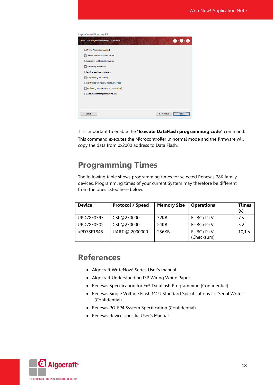| Project Creation Wizard, Step 3/3                            |  |
|--------------------------------------------------------------|--|
| $\mathbf{0}$ + 2<br>Select the programming steps to perform. |  |
| □ Enable Power Supply output                                 |  |
| Check Communication with device                              |  |
| Unprotect and Erase all memories                             |  |
| Erase Program memory                                         |  |
| <b>⊘ Blank Check Program memory</b>                          |  |
| Program Program memory                                       |  |
| Verify Program memory (readout method)                       |  |
| Verify Program memory (checksum method)                      |  |
| Execute Dataflash programming code                           |  |
|                                                              |  |
|                                                              |  |
|                                                              |  |
| Cancel<br><-- Previous<br>Finish                             |  |

It is important to enable the "**Execute DataFlash programming code**" command. This command executes the Microcontroller in normal mode and the firmware will copy the data from 0x2000 address to Data Flash.

# **Programming Times**

The following table shows programming times for selected Renesas 78K family devices. Programming times of your current System may therefore be different from the ones listed here below.

| <b>Device</b> | <b>Protocol / Speed</b> | <b>Memory Size</b> | <b>Operations</b>              | Times<br>(s) |
|---------------|-------------------------|--------------------|--------------------------------|--------------|
| UPD78F0393    | CSI @250000             | 32KB               | $E + BC + P + V$               | 7 s          |
| UPD78F0502    | CSI@250000              | 24KB               | $E+BC+P+V$                     | 5.2s         |
| uPD78F1845    | UART @ 2000000          | 256KB              | $E + BC + P + V$<br>(Checksum) | 10,1 s       |

# **References**

- Algocraft WriteNow! Series User's manual
- Algocraft Understanding ISP Wiring White Paper
- Renesas Specification for Fx3 Dataflash Programming (Confidential)
- Renesas Single Voltage Flash MCU Standard Specifications for Serial Writer (Confidential)
- Renesas PG-FP4 System Specification (Confidential)
- Renesas device-specific User's Manual